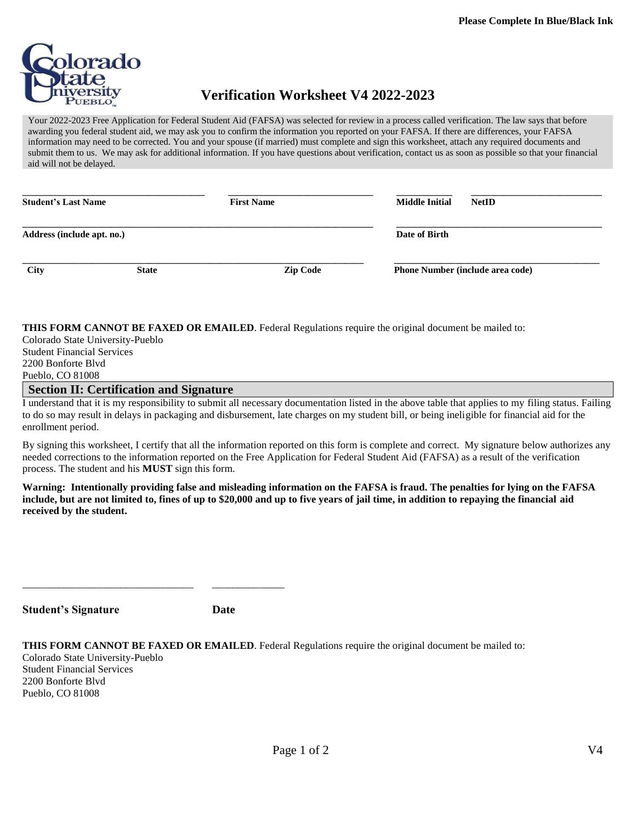

## **Verification Worksheet V4 2022-2023**

Your 2022-2023 Free Application for Federal Student Aid (FAFSA) was selected for review in a process called verification. The law says that before awarding you federal student aid, we may ask you to confirm the information you reported on your FAFSA. If there are differences, your FAFSA information may need to be corrected. You and your spouse (if married) must complete and sign this worksheet, attach any required documents and submit them to us. We may ask for additional information. If you have questions about verification, contact us as soon as possible so that your financial aid will not be delayed.

| <b>Student's Last Name</b> |              | <b>First Name</b> | <b>Middle Initial</b><br><b>NetID</b>   |  |  |
|----------------------------|--------------|-------------------|-----------------------------------------|--|--|
| Address (include apt. no.) |              |                   | Date of Birth                           |  |  |
| City                       | <b>State</b> | <b>Zip Code</b>   | <b>Phone Number (include area code)</b> |  |  |

**THIS FORM CANNOT BE FAXED OR EMAILED**. Federal Regulations require the original document be mailed to:

Colorado State University-Pueblo Student Financial Services 2200 Bonforte Blvd Pueblo, CO 81008

## **Section II: Certification and Signature**

\_\_\_\_\_\_\_\_\_\_\_\_\_\_\_\_\_\_\_\_\_\_\_\_\_\_\_\_\_\_\_\_\_ \_\_\_\_\_\_\_\_\_\_\_\_\_\_

I understand that it is my responsibility to submit all necessary documentation listed in the above table that applies to my filing status. Failing to do so may result in delays in packaging and disbursement, late charges on my student bill, or being ineligible for financial aid for the enrollment period.

By signing this worksheet, I certify that all the information reported on this form is complete and correct. My signature below authorizes any needed corrections to the information reported on the Free Application for Federal Student Aid (FAFSA) as a result of the verification process. The student and his **MUST** sign this form.

**Warning: Intentionally providing false and misleading information on the FAFSA is fraud. The penalties for lying on the FAFSA include, but are not limited to, fines of up to \$20,000 and up to five years of jail time, in addition to repaying the financial aid received by the student.**

**Date** 

|  |  |  |  |  |  | THIS FORM CANNOT BE FAXED OR EMAILED. Federal Regulations require the original document be mailed to: |  |
|--|--|--|--|--|--|-------------------------------------------------------------------------------------------------------|--|
|  |  |  |  |  |  |                                                                                                       |  |

Colorado State University-Pueblo Student Financial Services 2200 Bonforte Blvd Pueblo, CO 81008